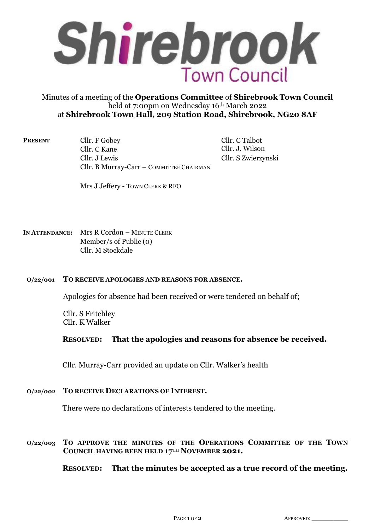

# Minutes of a meeting of the **Operations Committee** of **Shirebrook Town Council**  held at 7:00pm on Wednesday 16th March 2022 at **Shirebrook Town Hall, 209 Station Road, Shirebrook, NG20 8AF**

**PRESENT** Cllr. F Gobey Cllr. C Talbot Cllr. C Kane Cllr. J. Wilson Cllr. J Lewis Cllr. S Zwierzynski Cllr. B Murray-Carr – COMMITTEE CHAIRMAN

Mrs J Jeffery - TOWN CLERK & RFO

**IN ATTENDANCE:** Mrs R Cordon – MINUTE CLERK Member/s of Public (0) Cllr. M Stockdale

# **O/22/001 TO RECEIVE APOLOGIES AND REASONS FOR ABSENCE.**

Apologies for absence had been received or were tendered on behalf of;

Cllr. S Fritchley Cllr. K Walker

# **RESOLVED: That the apologies and reasons for absence be received.**

Cllr. Murray-Carr provided an update on Cllr. Walker's health

# **O/22/002 TO RECEIVE DECLARATIONS OF INTEREST.**

There were no declarations of interests tendered to the meeting.

## **O/22/003 TO APPROVE THE MINUTES OF THE OPERATIONS COMMITTEE OF THE TOWN COUNCIL HAVING BEEN HELD 17TH NOVEMBER 2021.**

**RESOLVED: That the minutes be accepted as a true record of the meeting.**